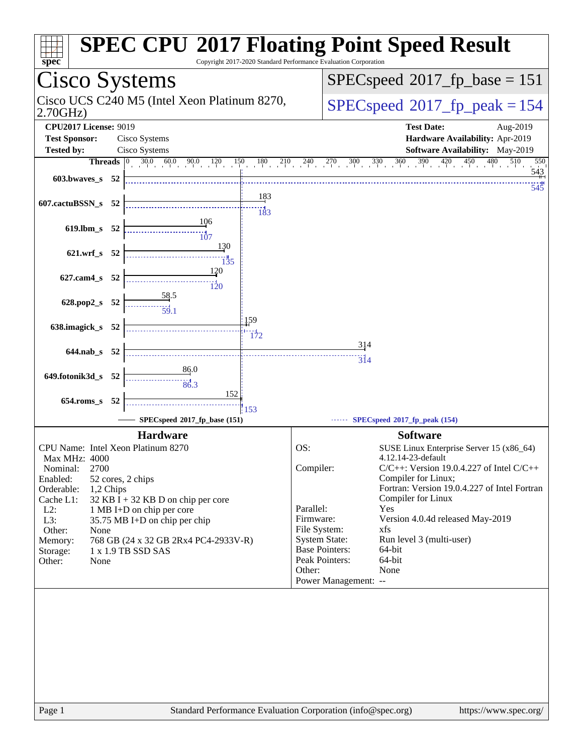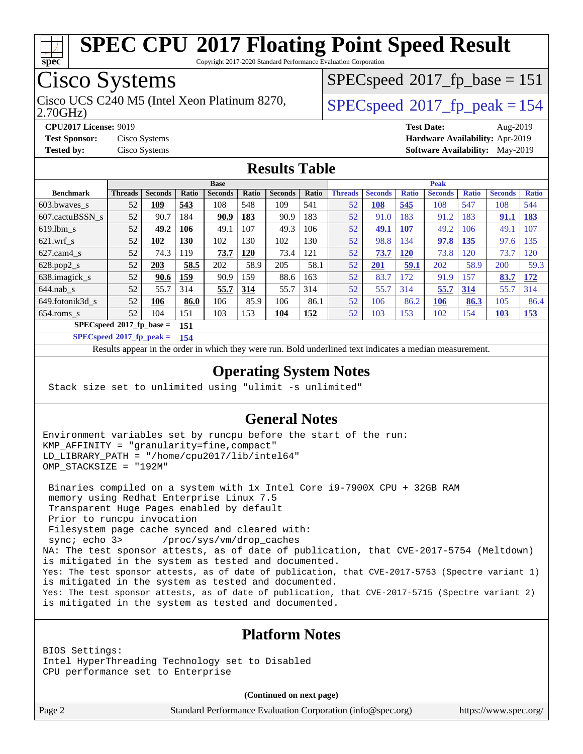

Copyright 2017-2020 Standard Performance Evaluation Corporation

## Cisco Systems

2.70GHz) Cisco UCS C240 M5 (Intel Xeon Platinum 8270,  $\vert$  [SPECspeed](http://www.spec.org/auto/cpu2017/Docs/result-fields.html#SPECspeed2017fppeak)®2017 fp\_peak = 154

[SPECspeed](http://www.spec.org/auto/cpu2017/Docs/result-fields.html#SPECspeed2017fpbase)<sup>®</sup>2017 fp base = 151

**[CPU2017 License:](http://www.spec.org/auto/cpu2017/Docs/result-fields.html#CPU2017License)** 9019 **[Test Date:](http://www.spec.org/auto/cpu2017/Docs/result-fields.html#TestDate)** Aug-2019 **[Test Sponsor:](http://www.spec.org/auto/cpu2017/Docs/result-fields.html#TestSponsor)** Cisco Systems **[Hardware Availability:](http://www.spec.org/auto/cpu2017/Docs/result-fields.html#HardwareAvailability)** Apr-2019 **[Tested by:](http://www.spec.org/auto/cpu2017/Docs/result-fields.html#Testedby)** Cisco Systems **[Software Availability:](http://www.spec.org/auto/cpu2017/Docs/result-fields.html#SoftwareAvailability)** May-2019

#### **[Results Table](http://www.spec.org/auto/cpu2017/Docs/result-fields.html#ResultsTable)**

|                                   | <b>Base</b>    |                |       |                |       |                |       | <b>Peak</b>    |                |              |                |              |                |              |
|-----------------------------------|----------------|----------------|-------|----------------|-------|----------------|-------|----------------|----------------|--------------|----------------|--------------|----------------|--------------|
| <b>Benchmark</b>                  | <b>Threads</b> | <b>Seconds</b> | Ratio | <b>Seconds</b> | Ratio | <b>Seconds</b> | Ratio | <b>Threads</b> | <b>Seconds</b> | <b>Ratio</b> | <b>Seconds</b> | <b>Ratio</b> | <b>Seconds</b> | <b>Ratio</b> |
| 603.bwayes s                      | 52             | 109            | 543   | 108            | 548   | 109            | 541   | 52             | <b>108</b>     | 545          | 108            | 547          | 108            | 544          |
| 607.cactuBSSN s                   | 52             | 90.7           | 184   | 90.9           | 183   | 90.9           | 183   | 52             | 91.0           | 183          | 91.2           | 183          | 91.1           | <b>183</b>   |
| $619.1$ bm s                      | 52             | 49.2           | 106   | 49.1           | 107   | 49.3           | 106   | 52             | 49.1           | <b>107</b>   | 49.2           | 106          | 49.1           | 107          |
| $621$ .wrf s                      | 52             | 102            | 130   | 102            | 130   | 102            | 130   | 52             | 98.8           | 134          | 97.8           | 135          | 97.6           | 135          |
| $627$ .cam4 s                     | 52             | 74.3           | 119   | 73.7           | 120   | 73.4           | 121   | 52             | 73.7           | <b>120</b>   | 73.8           | 120          | 73.7           | 120          |
| $628.pop2_s$                      | 52             | 203            | 58.5  | 202            | 58.9  | 205            | 58.1  | 52             | 201            | 59.1         | 202            | 58.9         | 200            | 59.3         |
| 638.imagick_s                     | 52             | 90.6           | 159   | 90.9           | 159   | 88.6           | 163   | 52             | 83.7           | 172          | 91.9           | 157          | 83.7           | 172          |
| $644$ .nab s                      | 52             | 55.7           | 314   | 55.7           | 314   | 55.7           | 314   | 52             | 55.7           | 314          | 55.7           | 314          | 55.7           | 314          |
| 649.fotonik3d s                   | 52             | 106            | 86.0  | 106            | 85.9  | 106            | 86.1  | 52             | 106            | 86.2         | 106            | 86.3         | 105            | 86.4         |
| $654$ .roms s                     | 52             | 104            | 151   | 103            | 153   | <u>104</u>     | 152   | 52             | 103            | 153          | 102            | 154          | <u>103</u>     | <u>153</u>   |
| $SPECspeed*2017$ fp base =<br>151 |                |                |       |                |       |                |       |                |                |              |                |              |                |              |

**[SPECspeed](http://www.spec.org/auto/cpu2017/Docs/result-fields.html#SPECspeed2017fppeak)[2017\\_fp\\_peak =](http://www.spec.org/auto/cpu2017/Docs/result-fields.html#SPECspeed2017fppeak) 154**

Results appear in the [order in which they were run.](http://www.spec.org/auto/cpu2017/Docs/result-fields.html#RunOrder) Bold underlined text [indicates a median measurement](http://www.spec.org/auto/cpu2017/Docs/result-fields.html#Median).

#### **[Operating System Notes](http://www.spec.org/auto/cpu2017/Docs/result-fields.html#OperatingSystemNotes)**

Stack size set to unlimited using "ulimit -s unlimited"

#### **[General Notes](http://www.spec.org/auto/cpu2017/Docs/result-fields.html#GeneralNotes)**

Environment variables set by runcpu before the start of the run: KMP\_AFFINITY = "granularity=fine,compact" LD\_LIBRARY\_PATH = "/home/cpu2017/lib/intel64" OMP\_STACKSIZE = "192M"

 Binaries compiled on a system with 1x Intel Core i9-7900X CPU + 32GB RAM memory using Redhat Enterprise Linux 7.5 Transparent Huge Pages enabled by default Prior to runcpu invocation Filesystem page cache synced and cleared with: sync; echo 3> /proc/sys/vm/drop\_caches NA: The test sponsor attests, as of date of publication, that CVE-2017-5754 (Meltdown) is mitigated in the system as tested and documented. Yes: The test sponsor attests, as of date of publication, that CVE-2017-5753 (Spectre variant 1) is mitigated in the system as tested and documented. Yes: The test sponsor attests, as of date of publication, that CVE-2017-5715 (Spectre variant 2) is mitigated in the system as tested and documented.

#### **[Platform Notes](http://www.spec.org/auto/cpu2017/Docs/result-fields.html#PlatformNotes)**

BIOS Settings: Intel HyperThreading Technology set to Disabled CPU performance set to Enterprise

**(Continued on next page)**

Page 2 Standard Performance Evaluation Corporation [\(info@spec.org\)](mailto:info@spec.org) <https://www.spec.org/>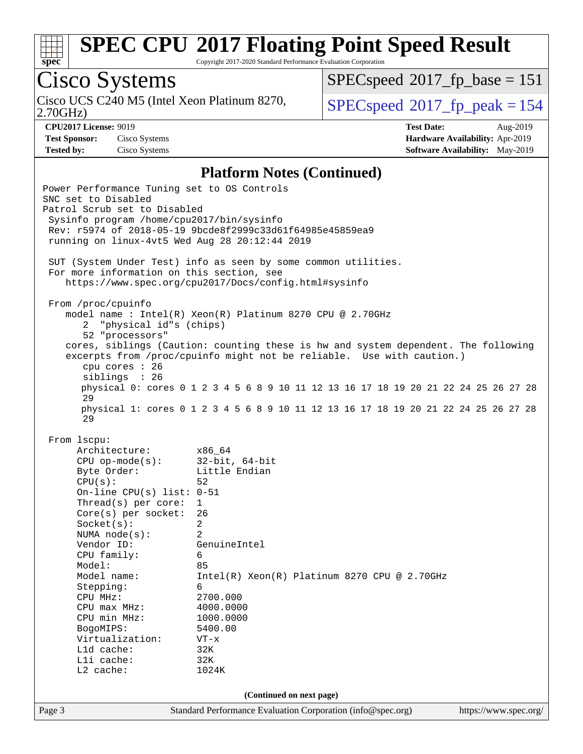

Copyright 2017-2020 Standard Performance Evaluation Corporation

## Cisco Systems

Cisco UCS C240 M5 (Intel Xeon Platinum 8270,<br>2.70GHz)

[SPECspeed](http://www.spec.org/auto/cpu2017/Docs/result-fields.html#SPECspeed2017fpbase)<sup>®</sup>2017 fp base = 151

[SPECspeed](http://www.spec.org/auto/cpu2017/Docs/result-fields.html#SPECspeed2017fppeak)<sup>®</sup>2017 fp peak = 154

**[Test Sponsor:](http://www.spec.org/auto/cpu2017/Docs/result-fields.html#TestSponsor)** Cisco Systems **[Hardware Availability:](http://www.spec.org/auto/cpu2017/Docs/result-fields.html#HardwareAvailability)** Apr-2019

**[CPU2017 License:](http://www.spec.org/auto/cpu2017/Docs/result-fields.html#CPU2017License)** 9019 **[Test Date:](http://www.spec.org/auto/cpu2017/Docs/result-fields.html#TestDate)** Aug-2019 **[Tested by:](http://www.spec.org/auto/cpu2017/Docs/result-fields.html#Testedby)** Cisco Systems **[Software Availability:](http://www.spec.org/auto/cpu2017/Docs/result-fields.html#SoftwareAvailability)** May-2019

#### **[Platform Notes \(Continued\)](http://www.spec.org/auto/cpu2017/Docs/result-fields.html#PlatformNotes)**

Page 3 Standard Performance Evaluation Corporation [\(info@spec.org\)](mailto:info@spec.org) <https://www.spec.org/> Power Performance Tuning set to OS Controls SNC set to Disabled Patrol Scrub set to Disabled Sysinfo program /home/cpu2017/bin/sysinfo Rev: r5974 of 2018-05-19 9bcde8f2999c33d61f64985e45859ea9 running on linux-4vt5 Wed Aug 28 20:12:44 2019 SUT (System Under Test) info as seen by some common utilities. For more information on this section, see <https://www.spec.org/cpu2017/Docs/config.html#sysinfo> From /proc/cpuinfo model name : Intel(R) Xeon(R) Platinum 8270 CPU @ 2.70GHz 2 "physical id"s (chips) 52 "processors" cores, siblings (Caution: counting these is hw and system dependent. The following excerpts from /proc/cpuinfo might not be reliable. Use with caution.) cpu cores : 26 siblings : 26 physical 0: cores 0 1 2 3 4 5 6 8 9 10 11 12 13 16 17 18 19 20 21 22 24 25 26 27 28 29 physical 1: cores 0 1 2 3 4 5 6 8 9 10 11 12 13 16 17 18 19 20 21 22 24 25 26 27 28 29 From lscpu: Architecture: x86\_64 CPU op-mode(s): 32-bit, 64-bit Byte Order: Little Endian CPU(s): 52 On-line CPU(s) list: 0-51 Thread(s) per core: 1 Core(s) per socket: 26 Socket(s): 2 NUMA node(s): 2 Vendor ID: GenuineIntel CPU family: 6 Model: 85 Model name: Intel(R) Xeon(R) Platinum 8270 CPU @ 2.70GHz Stepping: 6 CPU MHz: 2700.000 CPU max MHz: 4000.0000 CPU min MHz: 1000.0000 BogoMIPS: 5400.00 Virtualization: VT-x L1d cache: 32K L1i cache: 32K L2 cache: 1024K **(Continued on next page)**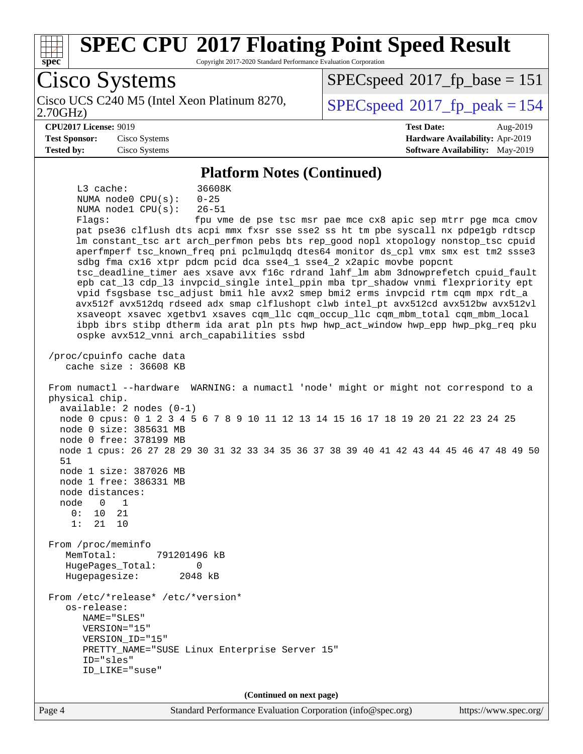

Copyright 2017-2020 Standard Performance Evaluation Corporation

Cisco Systems Cisco UCS C240 M5 (Intel Xeon Platinum 8270,<br>2.70GHz) [SPECspeed](http://www.spec.org/auto/cpu2017/Docs/result-fields.html#SPECspeed2017fppeak)<sup>®</sup>2017 fp peak = 154 [SPECspeed](http://www.spec.org/auto/cpu2017/Docs/result-fields.html#SPECspeed2017fpbase)<sup>®</sup>2017 fp base = 151 **[CPU2017 License:](http://www.spec.org/auto/cpu2017/Docs/result-fields.html#CPU2017License)** 9019 **[Test Date:](http://www.spec.org/auto/cpu2017/Docs/result-fields.html#TestDate)** Aug-2019 **[Test Sponsor:](http://www.spec.org/auto/cpu2017/Docs/result-fields.html#TestSponsor)** Cisco Systems **[Hardware Availability:](http://www.spec.org/auto/cpu2017/Docs/result-fields.html#HardwareAvailability)** Apr-2019 **[Tested by:](http://www.spec.org/auto/cpu2017/Docs/result-fields.html#Testedby)** Cisco Systems **[Software Availability:](http://www.spec.org/auto/cpu2017/Docs/result-fields.html#SoftwareAvailability)** May-2019 **[Platform Notes \(Continued\)](http://www.spec.org/auto/cpu2017/Docs/result-fields.html#PlatformNotes)** L3 cache: 36608K NUMA node0 CPU(s): 0-25 NUMA node1 CPU(s): 26-51 Flags: fpu vme de pse tsc msr pae mce cx8 apic sep mtrr pge mca cmov pat pse36 clflush dts acpi mmx fxsr sse sse2 ss ht tm pbe syscall nx pdpe1gb rdtscp lm constant\_tsc art arch\_perfmon pebs bts rep\_good nopl xtopology nonstop\_tsc cpuid aperfmperf tsc\_known\_freq pni pclmulqdq dtes64 monitor ds\_cpl vmx smx est tm2 ssse3 sdbg fma cx16 xtpr pdcm pcid dca sse4\_1 sse4\_2 x2apic movbe popcnt tsc\_deadline\_timer aes xsave avx f16c rdrand lahf\_lm abm 3dnowprefetch cpuid\_fault epb cat\_l3 cdp\_l3 invpcid\_single intel\_ppin mba tpr\_shadow vnmi flexpriority ept vpid fsgsbase tsc\_adjust bmi1 hle avx2 smep bmi2 erms invpcid rtm cqm mpx rdt\_a avx512f avx512dq rdseed adx smap clflushopt clwb intel\_pt avx512cd avx512bw avx512vl xsaveopt xsavec xgetbv1 xsaves cqm\_llc cqm\_occup\_llc cqm\_mbm\_total cqm\_mbm\_local ibpb ibrs stibp dtherm ida arat pln pts hwp hwp\_act\_window hwp\_epp hwp\_pkg\_req pku ospke avx512\_vnni arch\_capabilities ssbd /proc/cpuinfo cache data cache size : 36608 KB From numactl --hardware WARNING: a numactl 'node' might or might not correspond to a physical chip. available: 2 nodes (0-1) node 0 cpus: 0 1 2 3 4 5 6 7 8 9 10 11 12 13 14 15 16 17 18 19 20 21 22 23 24 25 node 0 size: 385631 MB node 0 free: 378199 MB node 1 cpus: 26 27 28 29 30 31 32 33 34 35 36 37 38 39 40 41 42 43 44 45 46 47 48 49 50 51 node 1 size: 387026 MB node 1 free: 386331 MB node distances: node 0 1  $0: 10 21$  1: 21 10 From /proc/meminfo MemTotal: 791201496 kB HugePages\_Total: 0 Hugepagesize: 2048 kB From /etc/\*release\* /etc/\*version\* os-release: NAME="SLES" VERSION="15" VERSION\_ID="15" PRETTY\_NAME="SUSE Linux Enterprise Server 15" ID="sles" ID\_LIKE="suse" **(Continued on next page)**

Page 4 Standard Performance Evaluation Corporation [\(info@spec.org\)](mailto:info@spec.org) <https://www.spec.org/>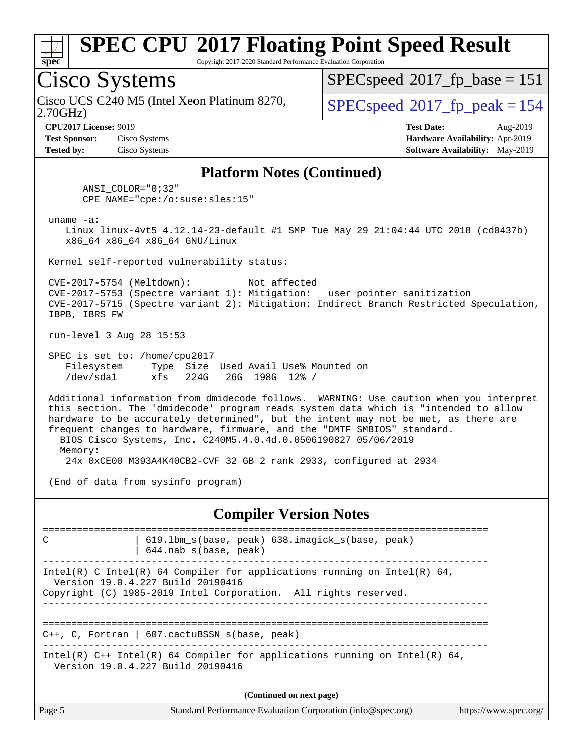

Copyright 2017-2020 Standard Performance Evaluation Corporation

### Cisco Systems

2.70GHz) Cisco UCS C240 M5 (Intel Xeon Platinum 8270,  $\vert$  [SPECspeed](http://www.spec.org/auto/cpu2017/Docs/result-fields.html#SPECspeed2017fppeak)®2017 fp\_peak = 154

[SPECspeed](http://www.spec.org/auto/cpu2017/Docs/result-fields.html#SPECspeed2017fpbase)<sup>®</sup>2017 fp base = 151

**[Test Sponsor:](http://www.spec.org/auto/cpu2017/Docs/result-fields.html#TestSponsor)** Cisco Systems **[Hardware Availability:](http://www.spec.org/auto/cpu2017/Docs/result-fields.html#HardwareAvailability)** Apr-2019 **[Tested by:](http://www.spec.org/auto/cpu2017/Docs/result-fields.html#Testedby)** Cisco Systems **[Software Availability:](http://www.spec.org/auto/cpu2017/Docs/result-fields.html#SoftwareAvailability)** May-2019

**[CPU2017 License:](http://www.spec.org/auto/cpu2017/Docs/result-fields.html#CPU2017License)** 9019 **[Test Date:](http://www.spec.org/auto/cpu2017/Docs/result-fields.html#TestDate)** Aug-2019

#### **[Platform Notes \(Continued\)](http://www.spec.org/auto/cpu2017/Docs/result-fields.html#PlatformNotes)**

 ANSI\_COLOR="0;32" CPE\_NAME="cpe:/o:suse:sles:15"

uname -a:

Memory:

 Linux linux-4vt5 4.12.14-23-default #1 SMP Tue May 29 21:04:44 UTC 2018 (cd0437b) x86\_64 x86\_64 x86\_64 GNU/Linux

Kernel self-reported vulnerability status:

 CVE-2017-5754 (Meltdown): Not affected CVE-2017-5753 (Spectre variant 1): Mitigation: \_\_user pointer sanitization CVE-2017-5715 (Spectre variant 2): Mitigation: Indirect Branch Restricted Speculation, IBPB, IBRS\_FW

run-level 3 Aug 28 15:53

 SPEC is set to: /home/cpu2017 Filesystem Type Size Used Avail Use% Mounted on /dev/sda1 xfs 224G 26G 198G 12% /

 Additional information from dmidecode follows. WARNING: Use caution when you interpret this section. The 'dmidecode' program reads system data which is "intended to allow hardware to be accurately determined", but the intent may not be met, as there are frequent changes to hardware, firmware, and the "DMTF SMBIOS" standard. BIOS Cisco Systems, Inc. C240M5.4.0.4d.0.0506190827 05/06/2019

24x 0xCE00 M393A4K40CB2-CVF 32 GB 2 rank 2933, configured at 2934

(End of data from sysinfo program)

**[Compiler Version Notes](http://www.spec.org/auto/cpu2017/Docs/result-fields.html#CompilerVersionNotes)**

============================================================================== C 19.1bm s(base, peak) 638.imagick s(base, peak) | 644.nab\_s(base, peak) ------------------------------------------------------------------------------ Intel(R) C Intel(R) 64 Compiler for applications running on Intel(R) 64, Version 19.0.4.227 Build 20190416 Copyright (C) 1985-2019 Intel Corporation. All rights reserved. ------------------------------------------------------------------------------ ============================================================================== C++, C, Fortran | 607.cactuBSSN\_s(base, peak) ------------------------------------------------------------------------------ Intel(R) C++ Intel(R) 64 Compiler for applications running on Intel(R) 64, Version 19.0.4.227 Build 20190416 **(Continued on next page)**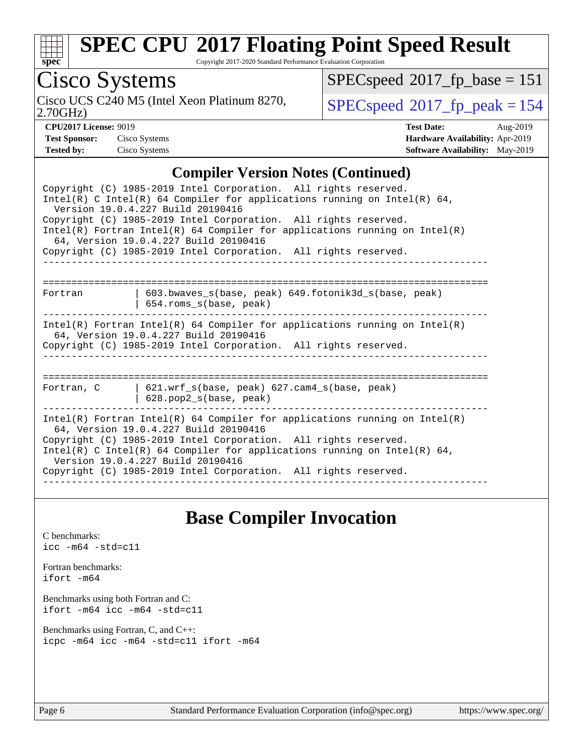

Copyright 2017-2020 Standard Performance Evaluation Corporation

Cisco Systems

2.70GHz) Cisco UCS C240 M5 (Intel Xeon Platinum 8270,  $SPECspeed^{\circ}2017\_fp\_peak = 154$  $SPECspeed^{\circ}2017\_fp\_peak = 154$ 

 $SPECspeed^{\circledast}2017_fp\_base = 151$  $SPECspeed^{\circledast}2017_fp\_base = 151$ 

| <b>Test Sponsor:</b> | Cisco System: |
|----------------------|---------------|
| Tested hv•           | Cisco System  |

**[CPU2017 License:](http://www.spec.org/auto/cpu2017/Docs/result-fields.html#CPU2017License)** 9019 **[Test Date:](http://www.spec.org/auto/cpu2017/Docs/result-fields.html#TestDate)** Aug-2019 **Test Systems Systems Systems Systems Systems Systems Systems Systems Systems Systems Systems Systems Systems Systems Systems Systems Systems Systems Systems Systems Systems Systems Systems Systems Systems Systems Systems [Tested by:](http://www.spec.org/auto/cpu2017/Docs/result-fields.html#Testedby)** Cisco Systems **[Software Availability:](http://www.spec.org/auto/cpu2017/Docs/result-fields.html#SoftwareAvailability)** May-2019

#### **[Compiler Version Notes \(Continued\)](http://www.spec.org/auto/cpu2017/Docs/result-fields.html#CompilerVersionNotes)**

| Copyright (C) 1985-2019 Intel Corporation. All rights reserved.<br>Intel(R) C Intel(R) 64 Compiler for applications running on Intel(R) 64,<br>Version 19.0.4.227 Build 20190416<br>Copyright (C) 1985-2019 Intel Corporation. All rights reserved.<br>$Intel(R)$ Fortran Intel(R) 64 Compiler for applications running on Intel(R)<br>64, Version 19.0.4.227 Build 20190416<br>Copyright (C) 1985-2019 Intel Corporation. All rights reserved. |
|-------------------------------------------------------------------------------------------------------------------------------------------------------------------------------------------------------------------------------------------------------------------------------------------------------------------------------------------------------------------------------------------------------------------------------------------------|
| 603.bwaves s(base, peak) 649.fotonik3d s(base, peak)<br>Fortran                                                                                                                                                                                                                                                                                                                                                                                 |
| 654.roms_s(base, peak)<br>$Intel(R)$ Fortran Intel(R) 64 Compiler for applications running on Intel(R)<br>64, Version 19.0.4.227 Build 20190416                                                                                                                                                                                                                                                                                                 |
| Copyright (C) 1985-2019 Intel Corporation. All rights reserved.                                                                                                                                                                                                                                                                                                                                                                                 |
| Fortran, C   621.wrf s(base, peak) 627.cam4 s(base, peak)<br>$628.$ pop2_s(base, peak)                                                                                                                                                                                                                                                                                                                                                          |
| $Intel(R)$ Fortran Intel(R) 64 Compiler for applications running on Intel(R)<br>64, Version 19.0.4.227 Build 20190416<br>Copyright (C) 1985-2019 Intel Corporation. All rights reserved.<br>Intel(R) C Intel(R) 64 Compiler for applications running on Intel(R) 64,<br>Version 19.0.4.227 Build 20190416<br>Copyright (C) 1985-2019 Intel Corporation. All rights reserved.                                                                    |

### **[Base Compiler Invocation](http://www.spec.org/auto/cpu2017/Docs/result-fields.html#BaseCompilerInvocation)**

[C benchmarks](http://www.spec.org/auto/cpu2017/Docs/result-fields.html#Cbenchmarks): [icc -m64 -std=c11](http://www.spec.org/cpu2017/results/res2019q3/cpu2017-20190903-17754.flags.html#user_CCbase_intel_icc_64bit_c11_33ee0cdaae7deeeab2a9725423ba97205ce30f63b9926c2519791662299b76a0318f32ddfffdc46587804de3178b4f9328c46fa7c2b0cd779d7a61945c91cd35)

[Fortran benchmarks](http://www.spec.org/auto/cpu2017/Docs/result-fields.html#Fortranbenchmarks): [ifort -m64](http://www.spec.org/cpu2017/results/res2019q3/cpu2017-20190903-17754.flags.html#user_FCbase_intel_ifort_64bit_24f2bb282fbaeffd6157abe4f878425411749daecae9a33200eee2bee2fe76f3b89351d69a8130dd5949958ce389cf37ff59a95e7a40d588e8d3a57e0c3fd751)

[Benchmarks using both Fortran and C](http://www.spec.org/auto/cpu2017/Docs/result-fields.html#BenchmarksusingbothFortranandC): [ifort -m64](http://www.spec.org/cpu2017/results/res2019q3/cpu2017-20190903-17754.flags.html#user_CC_FCbase_intel_ifort_64bit_24f2bb282fbaeffd6157abe4f878425411749daecae9a33200eee2bee2fe76f3b89351d69a8130dd5949958ce389cf37ff59a95e7a40d588e8d3a57e0c3fd751) [icc -m64 -std=c11](http://www.spec.org/cpu2017/results/res2019q3/cpu2017-20190903-17754.flags.html#user_CC_FCbase_intel_icc_64bit_c11_33ee0cdaae7deeeab2a9725423ba97205ce30f63b9926c2519791662299b76a0318f32ddfffdc46587804de3178b4f9328c46fa7c2b0cd779d7a61945c91cd35)

[Benchmarks using Fortran, C, and C++:](http://www.spec.org/auto/cpu2017/Docs/result-fields.html#BenchmarksusingFortranCandCXX) [icpc -m64](http://www.spec.org/cpu2017/results/res2019q3/cpu2017-20190903-17754.flags.html#user_CC_CXX_FCbase_intel_icpc_64bit_4ecb2543ae3f1412ef961e0650ca070fec7b7afdcd6ed48761b84423119d1bf6bdf5cad15b44d48e7256388bc77273b966e5eb805aefd121eb22e9299b2ec9d9) [icc -m64 -std=c11](http://www.spec.org/cpu2017/results/res2019q3/cpu2017-20190903-17754.flags.html#user_CC_CXX_FCbase_intel_icc_64bit_c11_33ee0cdaae7deeeab2a9725423ba97205ce30f63b9926c2519791662299b76a0318f32ddfffdc46587804de3178b4f9328c46fa7c2b0cd779d7a61945c91cd35) [ifort -m64](http://www.spec.org/cpu2017/results/res2019q3/cpu2017-20190903-17754.flags.html#user_CC_CXX_FCbase_intel_ifort_64bit_24f2bb282fbaeffd6157abe4f878425411749daecae9a33200eee2bee2fe76f3b89351d69a8130dd5949958ce389cf37ff59a95e7a40d588e8d3a57e0c3fd751)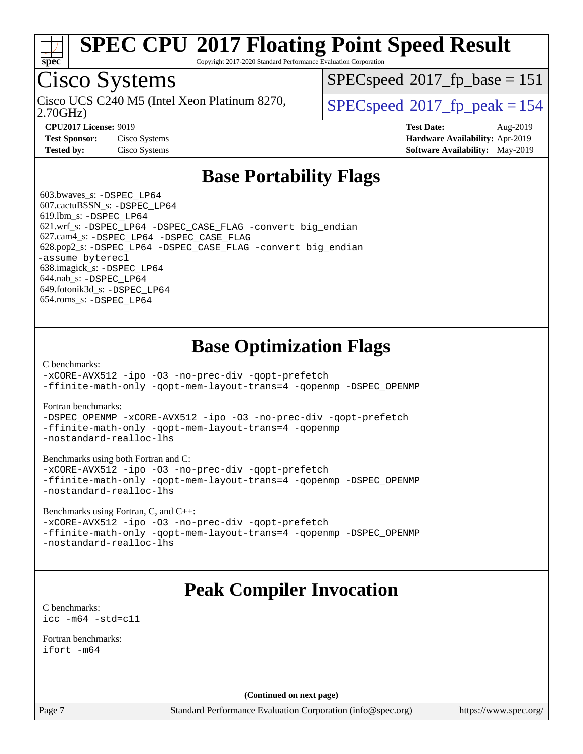

Copyright 2017-2020 Standard Performance Evaluation Corporation

## Cisco Systems

2.70GHz) Cisco UCS C240 M5 (Intel Xeon Platinum 8270,  $\vert$  [SPECspeed](http://www.spec.org/auto/cpu2017/Docs/result-fields.html#SPECspeed2017fppeak)<sup>®</sup>2017 fp\_peak = 154

[SPECspeed](http://www.spec.org/auto/cpu2017/Docs/result-fields.html#SPECspeed2017fpbase)<sup>®</sup>2017 fp base = 151

**[Test Sponsor:](http://www.spec.org/auto/cpu2017/Docs/result-fields.html#TestSponsor)** Cisco Systems **[Hardware Availability:](http://www.spec.org/auto/cpu2017/Docs/result-fields.html#HardwareAvailability)** Apr-2019

**[CPU2017 License:](http://www.spec.org/auto/cpu2017/Docs/result-fields.html#CPU2017License)** 9019 **[Test Date:](http://www.spec.org/auto/cpu2017/Docs/result-fields.html#TestDate)** Aug-2019 **[Tested by:](http://www.spec.org/auto/cpu2017/Docs/result-fields.html#Testedby)** Cisco Systems **[Software Availability:](http://www.spec.org/auto/cpu2017/Docs/result-fields.html#SoftwareAvailability)** May-2019

### **[Base Portability Flags](http://www.spec.org/auto/cpu2017/Docs/result-fields.html#BasePortabilityFlags)**

 603.bwaves\_s: [-DSPEC\\_LP64](http://www.spec.org/cpu2017/results/res2019q3/cpu2017-20190903-17754.flags.html#suite_basePORTABILITY603_bwaves_s_DSPEC_LP64) 607.cactuBSSN\_s: [-DSPEC\\_LP64](http://www.spec.org/cpu2017/results/res2019q3/cpu2017-20190903-17754.flags.html#suite_basePORTABILITY607_cactuBSSN_s_DSPEC_LP64) 619.lbm\_s: [-DSPEC\\_LP64](http://www.spec.org/cpu2017/results/res2019q3/cpu2017-20190903-17754.flags.html#suite_basePORTABILITY619_lbm_s_DSPEC_LP64) 621.wrf\_s: [-DSPEC\\_LP64](http://www.spec.org/cpu2017/results/res2019q3/cpu2017-20190903-17754.flags.html#suite_basePORTABILITY621_wrf_s_DSPEC_LP64) [-DSPEC\\_CASE\\_FLAG](http://www.spec.org/cpu2017/results/res2019q3/cpu2017-20190903-17754.flags.html#b621.wrf_s_baseCPORTABILITY_DSPEC_CASE_FLAG) [-convert big\\_endian](http://www.spec.org/cpu2017/results/res2019q3/cpu2017-20190903-17754.flags.html#user_baseFPORTABILITY621_wrf_s_convert_big_endian_c3194028bc08c63ac5d04de18c48ce6d347e4e562e8892b8bdbdc0214820426deb8554edfa529a3fb25a586e65a3d812c835984020483e7e73212c4d31a38223) 627.cam4\_s: [-DSPEC\\_LP64](http://www.spec.org/cpu2017/results/res2019q3/cpu2017-20190903-17754.flags.html#suite_basePORTABILITY627_cam4_s_DSPEC_LP64) [-DSPEC\\_CASE\\_FLAG](http://www.spec.org/cpu2017/results/res2019q3/cpu2017-20190903-17754.flags.html#b627.cam4_s_baseCPORTABILITY_DSPEC_CASE_FLAG) 628.pop2\_s: [-DSPEC\\_LP64](http://www.spec.org/cpu2017/results/res2019q3/cpu2017-20190903-17754.flags.html#suite_basePORTABILITY628_pop2_s_DSPEC_LP64) [-DSPEC\\_CASE\\_FLAG](http://www.spec.org/cpu2017/results/res2019q3/cpu2017-20190903-17754.flags.html#b628.pop2_s_baseCPORTABILITY_DSPEC_CASE_FLAG) [-convert big\\_endian](http://www.spec.org/cpu2017/results/res2019q3/cpu2017-20190903-17754.flags.html#user_baseFPORTABILITY628_pop2_s_convert_big_endian_c3194028bc08c63ac5d04de18c48ce6d347e4e562e8892b8bdbdc0214820426deb8554edfa529a3fb25a586e65a3d812c835984020483e7e73212c4d31a38223) [-assume byterecl](http://www.spec.org/cpu2017/results/res2019q3/cpu2017-20190903-17754.flags.html#user_baseFPORTABILITY628_pop2_s_assume_byterecl_7e47d18b9513cf18525430bbf0f2177aa9bf368bc7a059c09b2c06a34b53bd3447c950d3f8d6c70e3faf3a05c8557d66a5798b567902e8849adc142926523472) 638.imagick\_s: [-DSPEC\\_LP64](http://www.spec.org/cpu2017/results/res2019q3/cpu2017-20190903-17754.flags.html#suite_basePORTABILITY638_imagick_s_DSPEC_LP64) 644.nab\_s: [-DSPEC\\_LP64](http://www.spec.org/cpu2017/results/res2019q3/cpu2017-20190903-17754.flags.html#suite_basePORTABILITY644_nab_s_DSPEC_LP64) 649.fotonik3d\_s: [-DSPEC\\_LP64](http://www.spec.org/cpu2017/results/res2019q3/cpu2017-20190903-17754.flags.html#suite_basePORTABILITY649_fotonik3d_s_DSPEC_LP64) 654.roms\_s: [-DSPEC\\_LP64](http://www.spec.org/cpu2017/results/res2019q3/cpu2017-20190903-17754.flags.html#suite_basePORTABILITY654_roms_s_DSPEC_LP64)

### **[Base Optimization Flags](http://www.spec.org/auto/cpu2017/Docs/result-fields.html#BaseOptimizationFlags)**

[C benchmarks](http://www.spec.org/auto/cpu2017/Docs/result-fields.html#Cbenchmarks):

[-xCORE-AVX512](http://www.spec.org/cpu2017/results/res2019q3/cpu2017-20190903-17754.flags.html#user_CCbase_f-xCORE-AVX512) [-ipo](http://www.spec.org/cpu2017/results/res2019q3/cpu2017-20190903-17754.flags.html#user_CCbase_f-ipo) [-O3](http://www.spec.org/cpu2017/results/res2019q3/cpu2017-20190903-17754.flags.html#user_CCbase_f-O3) [-no-prec-div](http://www.spec.org/cpu2017/results/res2019q3/cpu2017-20190903-17754.flags.html#user_CCbase_f-no-prec-div) [-qopt-prefetch](http://www.spec.org/cpu2017/results/res2019q3/cpu2017-20190903-17754.flags.html#user_CCbase_f-qopt-prefetch) [-ffinite-math-only](http://www.spec.org/cpu2017/results/res2019q3/cpu2017-20190903-17754.flags.html#user_CCbase_f_finite_math_only_cb91587bd2077682c4b38af759c288ed7c732db004271a9512da14a4f8007909a5f1427ecbf1a0fb78ff2a814402c6114ac565ca162485bbcae155b5e4258871) [-qopt-mem-layout-trans=4](http://www.spec.org/cpu2017/results/res2019q3/cpu2017-20190903-17754.flags.html#user_CCbase_f-qopt-mem-layout-trans_fa39e755916c150a61361b7846f310bcdf6f04e385ef281cadf3647acec3f0ae266d1a1d22d972a7087a248fd4e6ca390a3634700869573d231a252c784941a8) [-qopenmp](http://www.spec.org/cpu2017/results/res2019q3/cpu2017-20190903-17754.flags.html#user_CCbase_qopenmp_16be0c44f24f464004c6784a7acb94aca937f053568ce72f94b139a11c7c168634a55f6653758ddd83bcf7b8463e8028bb0b48b77bcddc6b78d5d95bb1df2967) [-DSPEC\\_OPENMP](http://www.spec.org/cpu2017/results/res2019q3/cpu2017-20190903-17754.flags.html#suite_CCbase_DSPEC_OPENMP)

[Fortran benchmarks](http://www.spec.org/auto/cpu2017/Docs/result-fields.html#Fortranbenchmarks):

[-DSPEC\\_OPENMP](http://www.spec.org/cpu2017/results/res2019q3/cpu2017-20190903-17754.flags.html#suite_FCbase_DSPEC_OPENMP) [-xCORE-AVX512](http://www.spec.org/cpu2017/results/res2019q3/cpu2017-20190903-17754.flags.html#user_FCbase_f-xCORE-AVX512) [-ipo](http://www.spec.org/cpu2017/results/res2019q3/cpu2017-20190903-17754.flags.html#user_FCbase_f-ipo) [-O3](http://www.spec.org/cpu2017/results/res2019q3/cpu2017-20190903-17754.flags.html#user_FCbase_f-O3) [-no-prec-div](http://www.spec.org/cpu2017/results/res2019q3/cpu2017-20190903-17754.flags.html#user_FCbase_f-no-prec-div) [-qopt-prefetch](http://www.spec.org/cpu2017/results/res2019q3/cpu2017-20190903-17754.flags.html#user_FCbase_f-qopt-prefetch) [-ffinite-math-only](http://www.spec.org/cpu2017/results/res2019q3/cpu2017-20190903-17754.flags.html#user_FCbase_f_finite_math_only_cb91587bd2077682c4b38af759c288ed7c732db004271a9512da14a4f8007909a5f1427ecbf1a0fb78ff2a814402c6114ac565ca162485bbcae155b5e4258871) [-qopt-mem-layout-trans=4](http://www.spec.org/cpu2017/results/res2019q3/cpu2017-20190903-17754.flags.html#user_FCbase_f-qopt-mem-layout-trans_fa39e755916c150a61361b7846f310bcdf6f04e385ef281cadf3647acec3f0ae266d1a1d22d972a7087a248fd4e6ca390a3634700869573d231a252c784941a8) [-qopenmp](http://www.spec.org/cpu2017/results/res2019q3/cpu2017-20190903-17754.flags.html#user_FCbase_qopenmp_16be0c44f24f464004c6784a7acb94aca937f053568ce72f94b139a11c7c168634a55f6653758ddd83bcf7b8463e8028bb0b48b77bcddc6b78d5d95bb1df2967) [-nostandard-realloc-lhs](http://www.spec.org/cpu2017/results/res2019q3/cpu2017-20190903-17754.flags.html#user_FCbase_f_2003_std_realloc_82b4557e90729c0f113870c07e44d33d6f5a304b4f63d4c15d2d0f1fab99f5daaed73bdb9275d9ae411527f28b936061aa8b9c8f2d63842963b95c9dd6426b8a)

[Benchmarks using both Fortran and C](http://www.spec.org/auto/cpu2017/Docs/result-fields.html#BenchmarksusingbothFortranandC):

[-xCORE-AVX512](http://www.spec.org/cpu2017/results/res2019q3/cpu2017-20190903-17754.flags.html#user_CC_FCbase_f-xCORE-AVX512) [-ipo](http://www.spec.org/cpu2017/results/res2019q3/cpu2017-20190903-17754.flags.html#user_CC_FCbase_f-ipo) [-O3](http://www.spec.org/cpu2017/results/res2019q3/cpu2017-20190903-17754.flags.html#user_CC_FCbase_f-O3) [-no-prec-div](http://www.spec.org/cpu2017/results/res2019q3/cpu2017-20190903-17754.flags.html#user_CC_FCbase_f-no-prec-div) [-qopt-prefetch](http://www.spec.org/cpu2017/results/res2019q3/cpu2017-20190903-17754.flags.html#user_CC_FCbase_f-qopt-prefetch) [-ffinite-math-only](http://www.spec.org/cpu2017/results/res2019q3/cpu2017-20190903-17754.flags.html#user_CC_FCbase_f_finite_math_only_cb91587bd2077682c4b38af759c288ed7c732db004271a9512da14a4f8007909a5f1427ecbf1a0fb78ff2a814402c6114ac565ca162485bbcae155b5e4258871) [-qopt-mem-layout-trans=4](http://www.spec.org/cpu2017/results/res2019q3/cpu2017-20190903-17754.flags.html#user_CC_FCbase_f-qopt-mem-layout-trans_fa39e755916c150a61361b7846f310bcdf6f04e385ef281cadf3647acec3f0ae266d1a1d22d972a7087a248fd4e6ca390a3634700869573d231a252c784941a8) [-qopenmp](http://www.spec.org/cpu2017/results/res2019q3/cpu2017-20190903-17754.flags.html#user_CC_FCbase_qopenmp_16be0c44f24f464004c6784a7acb94aca937f053568ce72f94b139a11c7c168634a55f6653758ddd83bcf7b8463e8028bb0b48b77bcddc6b78d5d95bb1df2967) [-DSPEC\\_OPENMP](http://www.spec.org/cpu2017/results/res2019q3/cpu2017-20190903-17754.flags.html#suite_CC_FCbase_DSPEC_OPENMP) [-nostandard-realloc-lhs](http://www.spec.org/cpu2017/results/res2019q3/cpu2017-20190903-17754.flags.html#user_CC_FCbase_f_2003_std_realloc_82b4557e90729c0f113870c07e44d33d6f5a304b4f63d4c15d2d0f1fab99f5daaed73bdb9275d9ae411527f28b936061aa8b9c8f2d63842963b95c9dd6426b8a)

[Benchmarks using Fortran, C, and C++:](http://www.spec.org/auto/cpu2017/Docs/result-fields.html#BenchmarksusingFortranCandCXX)

[-xCORE-AVX512](http://www.spec.org/cpu2017/results/res2019q3/cpu2017-20190903-17754.flags.html#user_CC_CXX_FCbase_f-xCORE-AVX512) [-ipo](http://www.spec.org/cpu2017/results/res2019q3/cpu2017-20190903-17754.flags.html#user_CC_CXX_FCbase_f-ipo) [-O3](http://www.spec.org/cpu2017/results/res2019q3/cpu2017-20190903-17754.flags.html#user_CC_CXX_FCbase_f-O3) [-no-prec-div](http://www.spec.org/cpu2017/results/res2019q3/cpu2017-20190903-17754.flags.html#user_CC_CXX_FCbase_f-no-prec-div) [-qopt-prefetch](http://www.spec.org/cpu2017/results/res2019q3/cpu2017-20190903-17754.flags.html#user_CC_CXX_FCbase_f-qopt-prefetch) [-ffinite-math-only](http://www.spec.org/cpu2017/results/res2019q3/cpu2017-20190903-17754.flags.html#user_CC_CXX_FCbase_f_finite_math_only_cb91587bd2077682c4b38af759c288ed7c732db004271a9512da14a4f8007909a5f1427ecbf1a0fb78ff2a814402c6114ac565ca162485bbcae155b5e4258871) [-qopt-mem-layout-trans=4](http://www.spec.org/cpu2017/results/res2019q3/cpu2017-20190903-17754.flags.html#user_CC_CXX_FCbase_f-qopt-mem-layout-trans_fa39e755916c150a61361b7846f310bcdf6f04e385ef281cadf3647acec3f0ae266d1a1d22d972a7087a248fd4e6ca390a3634700869573d231a252c784941a8) [-qopenmp](http://www.spec.org/cpu2017/results/res2019q3/cpu2017-20190903-17754.flags.html#user_CC_CXX_FCbase_qopenmp_16be0c44f24f464004c6784a7acb94aca937f053568ce72f94b139a11c7c168634a55f6653758ddd83bcf7b8463e8028bb0b48b77bcddc6b78d5d95bb1df2967) [-DSPEC\\_OPENMP](http://www.spec.org/cpu2017/results/res2019q3/cpu2017-20190903-17754.flags.html#suite_CC_CXX_FCbase_DSPEC_OPENMP) [-nostandard-realloc-lhs](http://www.spec.org/cpu2017/results/res2019q3/cpu2017-20190903-17754.flags.html#user_CC_CXX_FCbase_f_2003_std_realloc_82b4557e90729c0f113870c07e44d33d6f5a304b4f63d4c15d2d0f1fab99f5daaed73bdb9275d9ae411527f28b936061aa8b9c8f2d63842963b95c9dd6426b8a)

### **[Peak Compiler Invocation](http://www.spec.org/auto/cpu2017/Docs/result-fields.html#PeakCompilerInvocation)**

[C benchmarks](http://www.spec.org/auto/cpu2017/Docs/result-fields.html#Cbenchmarks): [icc -m64 -std=c11](http://www.spec.org/cpu2017/results/res2019q3/cpu2017-20190903-17754.flags.html#user_CCpeak_intel_icc_64bit_c11_33ee0cdaae7deeeab2a9725423ba97205ce30f63b9926c2519791662299b76a0318f32ddfffdc46587804de3178b4f9328c46fa7c2b0cd779d7a61945c91cd35)

[Fortran benchmarks](http://www.spec.org/auto/cpu2017/Docs/result-fields.html#Fortranbenchmarks): [ifort -m64](http://www.spec.org/cpu2017/results/res2019q3/cpu2017-20190903-17754.flags.html#user_FCpeak_intel_ifort_64bit_24f2bb282fbaeffd6157abe4f878425411749daecae9a33200eee2bee2fe76f3b89351d69a8130dd5949958ce389cf37ff59a95e7a40d588e8d3a57e0c3fd751)

**(Continued on next page)**

Page 7 Standard Performance Evaluation Corporation [\(info@spec.org\)](mailto:info@spec.org) <https://www.spec.org/>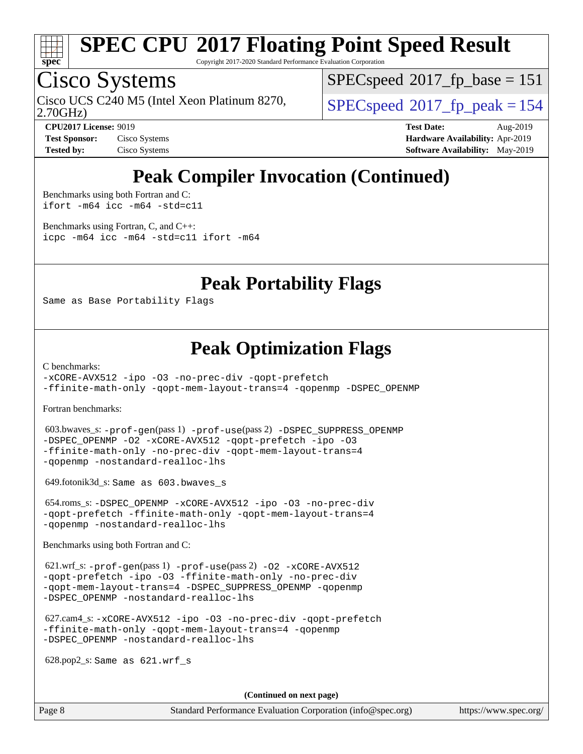

Copyright 2017-2020 Standard Performance Evaluation Corporation

## Cisco Systems

2.70GHz) Cisco UCS C240 M5 (Intel Xeon Platinum 8270,  $\vert$  [SPECspeed](http://www.spec.org/auto/cpu2017/Docs/result-fields.html#SPECspeed2017fppeak)®2017 fp\_peak = 154

[SPECspeed](http://www.spec.org/auto/cpu2017/Docs/result-fields.html#SPECspeed2017fpbase)<sup>®</sup>2017 fp base = 151

**[Test Sponsor:](http://www.spec.org/auto/cpu2017/Docs/result-fields.html#TestSponsor)** Cisco Systems **[Hardware Availability:](http://www.spec.org/auto/cpu2017/Docs/result-fields.html#HardwareAvailability)** Apr-2019

**[CPU2017 License:](http://www.spec.org/auto/cpu2017/Docs/result-fields.html#CPU2017License)** 9019 **[Test Date:](http://www.spec.org/auto/cpu2017/Docs/result-fields.html#TestDate)** Aug-2019 **[Tested by:](http://www.spec.org/auto/cpu2017/Docs/result-fields.html#Testedby)** Cisco Systems **[Software Availability:](http://www.spec.org/auto/cpu2017/Docs/result-fields.html#SoftwareAvailability)** May-2019

## **[Peak Compiler Invocation \(Continued\)](http://www.spec.org/auto/cpu2017/Docs/result-fields.html#PeakCompilerInvocation)**

[Benchmarks using both Fortran and C](http://www.spec.org/auto/cpu2017/Docs/result-fields.html#BenchmarksusingbothFortranandC): [ifort -m64](http://www.spec.org/cpu2017/results/res2019q3/cpu2017-20190903-17754.flags.html#user_CC_FCpeak_intel_ifort_64bit_24f2bb282fbaeffd6157abe4f878425411749daecae9a33200eee2bee2fe76f3b89351d69a8130dd5949958ce389cf37ff59a95e7a40d588e8d3a57e0c3fd751) [icc -m64 -std=c11](http://www.spec.org/cpu2017/results/res2019q3/cpu2017-20190903-17754.flags.html#user_CC_FCpeak_intel_icc_64bit_c11_33ee0cdaae7deeeab2a9725423ba97205ce30f63b9926c2519791662299b76a0318f32ddfffdc46587804de3178b4f9328c46fa7c2b0cd779d7a61945c91cd35)

[Benchmarks using Fortran, C, and C++:](http://www.spec.org/auto/cpu2017/Docs/result-fields.html#BenchmarksusingFortranCandCXX) [icpc -m64](http://www.spec.org/cpu2017/results/res2019q3/cpu2017-20190903-17754.flags.html#user_CC_CXX_FCpeak_intel_icpc_64bit_4ecb2543ae3f1412ef961e0650ca070fec7b7afdcd6ed48761b84423119d1bf6bdf5cad15b44d48e7256388bc77273b966e5eb805aefd121eb22e9299b2ec9d9) [icc -m64 -std=c11](http://www.spec.org/cpu2017/results/res2019q3/cpu2017-20190903-17754.flags.html#user_CC_CXX_FCpeak_intel_icc_64bit_c11_33ee0cdaae7deeeab2a9725423ba97205ce30f63b9926c2519791662299b76a0318f32ddfffdc46587804de3178b4f9328c46fa7c2b0cd779d7a61945c91cd35) [ifort -m64](http://www.spec.org/cpu2017/results/res2019q3/cpu2017-20190903-17754.flags.html#user_CC_CXX_FCpeak_intel_ifort_64bit_24f2bb282fbaeffd6157abe4f878425411749daecae9a33200eee2bee2fe76f3b89351d69a8130dd5949958ce389cf37ff59a95e7a40d588e8d3a57e0c3fd751)

### **[Peak Portability Flags](http://www.spec.org/auto/cpu2017/Docs/result-fields.html#PeakPortabilityFlags)**

Same as Base Portability Flags

### **[Peak Optimization Flags](http://www.spec.org/auto/cpu2017/Docs/result-fields.html#PeakOptimizationFlags)**

[C benchmarks](http://www.spec.org/auto/cpu2017/Docs/result-fields.html#Cbenchmarks):

[-xCORE-AVX512](http://www.spec.org/cpu2017/results/res2019q3/cpu2017-20190903-17754.flags.html#user_CCpeak_f-xCORE-AVX512) [-ipo](http://www.spec.org/cpu2017/results/res2019q3/cpu2017-20190903-17754.flags.html#user_CCpeak_f-ipo) [-O3](http://www.spec.org/cpu2017/results/res2019q3/cpu2017-20190903-17754.flags.html#user_CCpeak_f-O3) [-no-prec-div](http://www.spec.org/cpu2017/results/res2019q3/cpu2017-20190903-17754.flags.html#user_CCpeak_f-no-prec-div) [-qopt-prefetch](http://www.spec.org/cpu2017/results/res2019q3/cpu2017-20190903-17754.flags.html#user_CCpeak_f-qopt-prefetch) [-ffinite-math-only](http://www.spec.org/cpu2017/results/res2019q3/cpu2017-20190903-17754.flags.html#user_CCpeak_f_finite_math_only_cb91587bd2077682c4b38af759c288ed7c732db004271a9512da14a4f8007909a5f1427ecbf1a0fb78ff2a814402c6114ac565ca162485bbcae155b5e4258871) [-qopt-mem-layout-trans=4](http://www.spec.org/cpu2017/results/res2019q3/cpu2017-20190903-17754.flags.html#user_CCpeak_f-qopt-mem-layout-trans_fa39e755916c150a61361b7846f310bcdf6f04e385ef281cadf3647acec3f0ae266d1a1d22d972a7087a248fd4e6ca390a3634700869573d231a252c784941a8) [-qopenmp](http://www.spec.org/cpu2017/results/res2019q3/cpu2017-20190903-17754.flags.html#user_CCpeak_qopenmp_16be0c44f24f464004c6784a7acb94aca937f053568ce72f94b139a11c7c168634a55f6653758ddd83bcf7b8463e8028bb0b48b77bcddc6b78d5d95bb1df2967) [-DSPEC\\_OPENMP](http://www.spec.org/cpu2017/results/res2019q3/cpu2017-20190903-17754.flags.html#suite_CCpeak_DSPEC_OPENMP)

[Fortran benchmarks](http://www.spec.org/auto/cpu2017/Docs/result-fields.html#Fortranbenchmarks):

 603.bwaves\_s: [-prof-gen](http://www.spec.org/cpu2017/results/res2019q3/cpu2017-20190903-17754.flags.html#user_peakPASS1_FFLAGSPASS1_LDFLAGS603_bwaves_s_prof_gen_5aa4926d6013ddb2a31985c654b3eb18169fc0c6952a63635c234f711e6e63dd76e94ad52365559451ec499a2cdb89e4dc58ba4c67ef54ca681ffbe1461d6b36)(pass 1) [-prof-use](http://www.spec.org/cpu2017/results/res2019q3/cpu2017-20190903-17754.flags.html#user_peakPASS2_FFLAGSPASS2_LDFLAGS603_bwaves_s_prof_use_1a21ceae95f36a2b53c25747139a6c16ca95bd9def2a207b4f0849963b97e94f5260e30a0c64f4bb623698870e679ca08317ef8150905d41bd88c6f78df73f19)(pass 2) [-DSPEC\\_SUPPRESS\\_OPENMP](http://www.spec.org/cpu2017/results/res2019q3/cpu2017-20190903-17754.flags.html#suite_peakPASS1_FOPTIMIZE603_bwaves_s_DSPEC_SUPPRESS_OPENMP) [-DSPEC\\_OPENMP](http://www.spec.org/cpu2017/results/res2019q3/cpu2017-20190903-17754.flags.html#suite_peakPASS2_FOPTIMIZE603_bwaves_s_DSPEC_OPENMP) [-O2](http://www.spec.org/cpu2017/results/res2019q3/cpu2017-20190903-17754.flags.html#user_peakPASS1_FOPTIMIZE603_bwaves_s_f-O2) [-xCORE-AVX512](http://www.spec.org/cpu2017/results/res2019q3/cpu2017-20190903-17754.flags.html#user_peakPASS2_FOPTIMIZE603_bwaves_s_f-xCORE-AVX512) [-qopt-prefetch](http://www.spec.org/cpu2017/results/res2019q3/cpu2017-20190903-17754.flags.html#user_peakPASS1_FOPTIMIZEPASS2_FOPTIMIZE603_bwaves_s_f-qopt-prefetch) [-ipo](http://www.spec.org/cpu2017/results/res2019q3/cpu2017-20190903-17754.flags.html#user_peakPASS2_FOPTIMIZE603_bwaves_s_f-ipo) [-O3](http://www.spec.org/cpu2017/results/res2019q3/cpu2017-20190903-17754.flags.html#user_peakPASS2_FOPTIMIZE603_bwaves_s_f-O3) [-ffinite-math-only](http://www.spec.org/cpu2017/results/res2019q3/cpu2017-20190903-17754.flags.html#user_peakPASS1_FOPTIMIZEPASS2_FOPTIMIZE603_bwaves_s_f_finite_math_only_cb91587bd2077682c4b38af759c288ed7c732db004271a9512da14a4f8007909a5f1427ecbf1a0fb78ff2a814402c6114ac565ca162485bbcae155b5e4258871) [-no-prec-div](http://www.spec.org/cpu2017/results/res2019q3/cpu2017-20190903-17754.flags.html#user_peakPASS2_FOPTIMIZE603_bwaves_s_f-no-prec-div) [-qopt-mem-layout-trans=4](http://www.spec.org/cpu2017/results/res2019q3/cpu2017-20190903-17754.flags.html#user_peakPASS1_FOPTIMIZEPASS2_FOPTIMIZE603_bwaves_s_f-qopt-mem-layout-trans_fa39e755916c150a61361b7846f310bcdf6f04e385ef281cadf3647acec3f0ae266d1a1d22d972a7087a248fd4e6ca390a3634700869573d231a252c784941a8) [-qopenmp](http://www.spec.org/cpu2017/results/res2019q3/cpu2017-20190903-17754.flags.html#user_peakPASS2_FOPTIMIZE603_bwaves_s_qopenmp_16be0c44f24f464004c6784a7acb94aca937f053568ce72f94b139a11c7c168634a55f6653758ddd83bcf7b8463e8028bb0b48b77bcddc6b78d5d95bb1df2967) [-nostandard-realloc-lhs](http://www.spec.org/cpu2017/results/res2019q3/cpu2017-20190903-17754.flags.html#user_peakEXTRA_FOPTIMIZE603_bwaves_s_f_2003_std_realloc_82b4557e90729c0f113870c07e44d33d6f5a304b4f63d4c15d2d0f1fab99f5daaed73bdb9275d9ae411527f28b936061aa8b9c8f2d63842963b95c9dd6426b8a)

649.fotonik3d\_s: Same as 603.bwaves\_s

 654.roms\_s: [-DSPEC\\_OPENMP](http://www.spec.org/cpu2017/results/res2019q3/cpu2017-20190903-17754.flags.html#suite_peakFOPTIMIZE654_roms_s_DSPEC_OPENMP) [-xCORE-AVX512](http://www.spec.org/cpu2017/results/res2019q3/cpu2017-20190903-17754.flags.html#user_peakFOPTIMIZE654_roms_s_f-xCORE-AVX512) [-ipo](http://www.spec.org/cpu2017/results/res2019q3/cpu2017-20190903-17754.flags.html#user_peakFOPTIMIZE654_roms_s_f-ipo) [-O3](http://www.spec.org/cpu2017/results/res2019q3/cpu2017-20190903-17754.flags.html#user_peakFOPTIMIZE654_roms_s_f-O3) [-no-prec-div](http://www.spec.org/cpu2017/results/res2019q3/cpu2017-20190903-17754.flags.html#user_peakFOPTIMIZE654_roms_s_f-no-prec-div) [-qopt-prefetch](http://www.spec.org/cpu2017/results/res2019q3/cpu2017-20190903-17754.flags.html#user_peakFOPTIMIZE654_roms_s_f-qopt-prefetch) [-ffinite-math-only](http://www.spec.org/cpu2017/results/res2019q3/cpu2017-20190903-17754.flags.html#user_peakFOPTIMIZE654_roms_s_f_finite_math_only_cb91587bd2077682c4b38af759c288ed7c732db004271a9512da14a4f8007909a5f1427ecbf1a0fb78ff2a814402c6114ac565ca162485bbcae155b5e4258871) [-qopt-mem-layout-trans=4](http://www.spec.org/cpu2017/results/res2019q3/cpu2017-20190903-17754.flags.html#user_peakFOPTIMIZE654_roms_s_f-qopt-mem-layout-trans_fa39e755916c150a61361b7846f310bcdf6f04e385ef281cadf3647acec3f0ae266d1a1d22d972a7087a248fd4e6ca390a3634700869573d231a252c784941a8) [-qopenmp](http://www.spec.org/cpu2017/results/res2019q3/cpu2017-20190903-17754.flags.html#user_peakFOPTIMIZE654_roms_s_qopenmp_16be0c44f24f464004c6784a7acb94aca937f053568ce72f94b139a11c7c168634a55f6653758ddd83bcf7b8463e8028bb0b48b77bcddc6b78d5d95bb1df2967) [-nostandard-realloc-lhs](http://www.spec.org/cpu2017/results/res2019q3/cpu2017-20190903-17754.flags.html#user_peakEXTRA_FOPTIMIZE654_roms_s_f_2003_std_realloc_82b4557e90729c0f113870c07e44d33d6f5a304b4f63d4c15d2d0f1fab99f5daaed73bdb9275d9ae411527f28b936061aa8b9c8f2d63842963b95c9dd6426b8a)

[Benchmarks using both Fortran and C](http://www.spec.org/auto/cpu2017/Docs/result-fields.html#BenchmarksusingbothFortranandC):

 621.wrf\_s: [-prof-gen](http://www.spec.org/cpu2017/results/res2019q3/cpu2017-20190903-17754.flags.html#user_peakPASS1_CFLAGSPASS1_FFLAGSPASS1_LDFLAGS621_wrf_s_prof_gen_5aa4926d6013ddb2a31985c654b3eb18169fc0c6952a63635c234f711e6e63dd76e94ad52365559451ec499a2cdb89e4dc58ba4c67ef54ca681ffbe1461d6b36)(pass 1) [-prof-use](http://www.spec.org/cpu2017/results/res2019q3/cpu2017-20190903-17754.flags.html#user_peakPASS2_CFLAGSPASS2_FFLAGSPASS2_LDFLAGS621_wrf_s_prof_use_1a21ceae95f36a2b53c25747139a6c16ca95bd9def2a207b4f0849963b97e94f5260e30a0c64f4bb623698870e679ca08317ef8150905d41bd88c6f78df73f19)(pass 2) [-O2](http://www.spec.org/cpu2017/results/res2019q3/cpu2017-20190903-17754.flags.html#user_peakPASS1_COPTIMIZEPASS1_FOPTIMIZE621_wrf_s_f-O2) [-xCORE-AVX512](http://www.spec.org/cpu2017/results/res2019q3/cpu2017-20190903-17754.flags.html#user_peakPASS2_COPTIMIZEPASS2_FOPTIMIZE621_wrf_s_f-xCORE-AVX512) [-qopt-prefetch](http://www.spec.org/cpu2017/results/res2019q3/cpu2017-20190903-17754.flags.html#user_peakPASS1_COPTIMIZEPASS1_FOPTIMIZEPASS2_COPTIMIZEPASS2_FOPTIMIZE621_wrf_s_f-qopt-prefetch) [-ipo](http://www.spec.org/cpu2017/results/res2019q3/cpu2017-20190903-17754.flags.html#user_peakPASS2_COPTIMIZEPASS2_FOPTIMIZE621_wrf_s_f-ipo) [-O3](http://www.spec.org/cpu2017/results/res2019q3/cpu2017-20190903-17754.flags.html#user_peakPASS2_COPTIMIZEPASS2_FOPTIMIZE621_wrf_s_f-O3) [-ffinite-math-only](http://www.spec.org/cpu2017/results/res2019q3/cpu2017-20190903-17754.flags.html#user_peakPASS1_COPTIMIZEPASS1_FOPTIMIZEPASS2_COPTIMIZEPASS2_FOPTIMIZE621_wrf_s_f_finite_math_only_cb91587bd2077682c4b38af759c288ed7c732db004271a9512da14a4f8007909a5f1427ecbf1a0fb78ff2a814402c6114ac565ca162485bbcae155b5e4258871) [-no-prec-div](http://www.spec.org/cpu2017/results/res2019q3/cpu2017-20190903-17754.flags.html#user_peakPASS2_COPTIMIZEPASS2_FOPTIMIZE621_wrf_s_f-no-prec-div) [-qopt-mem-layout-trans=4](http://www.spec.org/cpu2017/results/res2019q3/cpu2017-20190903-17754.flags.html#user_peakPASS1_COPTIMIZEPASS1_FOPTIMIZEPASS2_COPTIMIZEPASS2_FOPTIMIZE621_wrf_s_f-qopt-mem-layout-trans_fa39e755916c150a61361b7846f310bcdf6f04e385ef281cadf3647acec3f0ae266d1a1d22d972a7087a248fd4e6ca390a3634700869573d231a252c784941a8) [-DSPEC\\_SUPPRESS\\_OPENMP](http://www.spec.org/cpu2017/results/res2019q3/cpu2017-20190903-17754.flags.html#suite_peakPASS1_COPTIMIZEPASS1_FOPTIMIZE621_wrf_s_DSPEC_SUPPRESS_OPENMP) [-qopenmp](http://www.spec.org/cpu2017/results/res2019q3/cpu2017-20190903-17754.flags.html#user_peakPASS2_COPTIMIZEPASS2_FOPTIMIZE621_wrf_s_qopenmp_16be0c44f24f464004c6784a7acb94aca937f053568ce72f94b139a11c7c168634a55f6653758ddd83bcf7b8463e8028bb0b48b77bcddc6b78d5d95bb1df2967) [-DSPEC\\_OPENMP](http://www.spec.org/cpu2017/results/res2019q3/cpu2017-20190903-17754.flags.html#suite_peakPASS2_COPTIMIZEPASS2_FOPTIMIZE621_wrf_s_DSPEC_OPENMP) [-nostandard-realloc-lhs](http://www.spec.org/cpu2017/results/res2019q3/cpu2017-20190903-17754.flags.html#user_peakEXTRA_FOPTIMIZE621_wrf_s_f_2003_std_realloc_82b4557e90729c0f113870c07e44d33d6f5a304b4f63d4c15d2d0f1fab99f5daaed73bdb9275d9ae411527f28b936061aa8b9c8f2d63842963b95c9dd6426b8a)

 627.cam4\_s: [-xCORE-AVX512](http://www.spec.org/cpu2017/results/res2019q3/cpu2017-20190903-17754.flags.html#user_peakCOPTIMIZEFOPTIMIZE627_cam4_s_f-xCORE-AVX512) [-ipo](http://www.spec.org/cpu2017/results/res2019q3/cpu2017-20190903-17754.flags.html#user_peakCOPTIMIZEFOPTIMIZE627_cam4_s_f-ipo) [-O3](http://www.spec.org/cpu2017/results/res2019q3/cpu2017-20190903-17754.flags.html#user_peakCOPTIMIZEFOPTIMIZE627_cam4_s_f-O3) [-no-prec-div](http://www.spec.org/cpu2017/results/res2019q3/cpu2017-20190903-17754.flags.html#user_peakCOPTIMIZEFOPTIMIZE627_cam4_s_f-no-prec-div) [-qopt-prefetch](http://www.spec.org/cpu2017/results/res2019q3/cpu2017-20190903-17754.flags.html#user_peakCOPTIMIZEFOPTIMIZE627_cam4_s_f-qopt-prefetch) [-ffinite-math-only](http://www.spec.org/cpu2017/results/res2019q3/cpu2017-20190903-17754.flags.html#user_peakCOPTIMIZEFOPTIMIZE627_cam4_s_f_finite_math_only_cb91587bd2077682c4b38af759c288ed7c732db004271a9512da14a4f8007909a5f1427ecbf1a0fb78ff2a814402c6114ac565ca162485bbcae155b5e4258871) [-qopt-mem-layout-trans=4](http://www.spec.org/cpu2017/results/res2019q3/cpu2017-20190903-17754.flags.html#user_peakCOPTIMIZEFOPTIMIZE627_cam4_s_f-qopt-mem-layout-trans_fa39e755916c150a61361b7846f310bcdf6f04e385ef281cadf3647acec3f0ae266d1a1d22d972a7087a248fd4e6ca390a3634700869573d231a252c784941a8) [-qopenmp](http://www.spec.org/cpu2017/results/res2019q3/cpu2017-20190903-17754.flags.html#user_peakCOPTIMIZEFOPTIMIZE627_cam4_s_qopenmp_16be0c44f24f464004c6784a7acb94aca937f053568ce72f94b139a11c7c168634a55f6653758ddd83bcf7b8463e8028bb0b48b77bcddc6b78d5d95bb1df2967) [-DSPEC\\_OPENMP](http://www.spec.org/cpu2017/results/res2019q3/cpu2017-20190903-17754.flags.html#suite_peakCOPTIMIZEFOPTIMIZE627_cam4_s_DSPEC_OPENMP) [-nostandard-realloc-lhs](http://www.spec.org/cpu2017/results/res2019q3/cpu2017-20190903-17754.flags.html#user_peakEXTRA_FOPTIMIZE627_cam4_s_f_2003_std_realloc_82b4557e90729c0f113870c07e44d33d6f5a304b4f63d4c15d2d0f1fab99f5daaed73bdb9275d9ae411527f28b936061aa8b9c8f2d63842963b95c9dd6426b8a)

628.pop2\_s: Same as 621.wrf\_s

**(Continued on next page)**